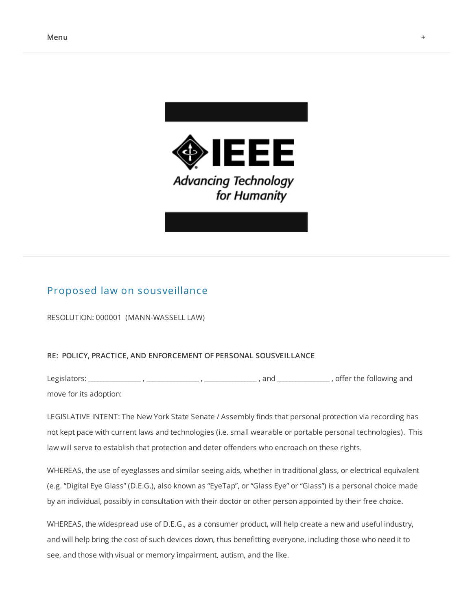



## Proposed law on [sousveillance](http://veillance.me/blog/2012/11/20/proposed-law-on-sousveillance)

RESOLUTION: 000001 (MANN-WASSELL LAW)

## **RE: POLICY, PRACTICE, AND ENFORCEMENT OF PERSONAL SOUSVEILLANCE**

Legislators: \_\_\_\_\_\_\_\_\_\_\_\_\_\_\_\_\_ , \_\_\_\_\_\_\_\_\_\_\_\_\_\_\_\_\_ , \_\_\_\_\_\_\_\_\_\_\_\_\_\_\_\_\_ , and \_\_\_\_\_\_\_\_\_\_\_\_\_\_\_\_\_ , offer the following and move for its adoption:

LEGISLATIVE INTENT: The New York State Senate / Assembly finds that personal protection via recording has not kept pace with current laws and technologies (i.e. small wearable or portable personal technologies). This law will serve to establish that protection and deter offenders who encroach on these rights.

WHEREAS, the use of eyeglasses and similar seeing aids, whether in traditional glass, or electrical equivalent (e.g. "Digital Eye Glass" (D.E.G.), also known as "EyeTap", or "Glass Eye" or "Glass") is a personal choice made by an individual, possibly in consultation with their doctor or other person appointed by their free choice.

WHEREAS, the widespread use of D.E.G., as a consumer product, will help create a new and useful industry, and will help bring the cost of such devices down, thus benefitting everyone, including those who need it to see, and those with visual or memory impairment, autism, and the like.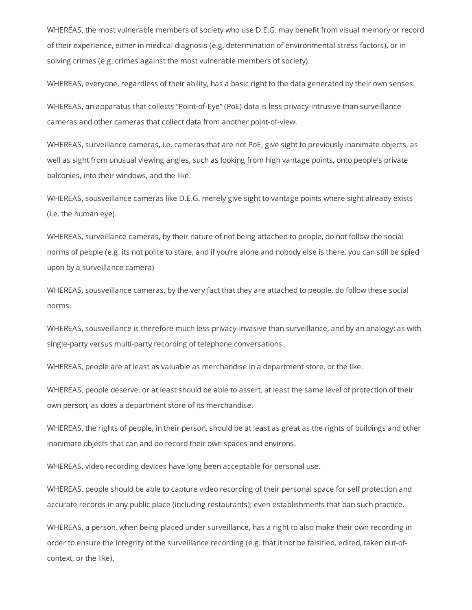WHEREAS, the most vulnerable members of society who use D.E.G. may benefit from visual memory or record of their experience, either in medical diagnosis (e.g. determination of environmental stress factors), or in solving crimes (e.g. crimes against the most vulnerable members of society).

WHEREAS, everyone, regardless of their ability, has a basic right to the data generated by their own senses.

WHEREAS, an apparatus that collects "Point-of-Eye" (PoE) data is less privacy-intrusive than surveillance cameras and other cameras that collect data from another point-of-view.

WHEREAS, surveillance cameras, i.e. cameras that are not PoE, give sight to previously inanimate objects, as well as sight from unusual viewing angles, such as looking from high vantage points, onto people's private balconies, into their windows, and the like.

WHEREAS, sousveillance cameras like D.E.G. merely give sight to vantage points where sight already exists (i.e. the human eye).

WHEREAS, surveillance cameras, by their nature of not being attached to people, do not follow the social norms of people (e.g. its not polite to stare, and if you're alone and nobody else is there, you can still be spied upon by a surveillance camera)

WHEREAS, sousveillance cameras, by the very fact that they are attached to people, do follow these social norms.

WHEREAS, sousveillance is therefore much less privacy-invasive than surveillance, and by an analogy: as with single-party versus multi-party recording of telephone conversations.

WHEREAS, people are at least as valuable as merchandise in a department store, or the like.

WHEREAS, people deserve, or at least should be able to assert, at least the same level of protection of their own person, as does a department store of its merchandise.

WHEREAS, the rights of people, in their person, should be at least as great as the rights of buildings and other inanimate objects that can and do record their own spaces and environs.

WHEREAS, video recording devices have long been acceptable for personal use.

WHEREAS, people should be able to capture video recording of their personal space for self protection and accurate records in any public place (including restaurants); even establishments that ban such practice.

WHEREAS, a person, when being placed under surveillance, has a right to also make their own recording in order to ensure the integrity of the surveillance recording (e.g. that it not be falsified, edited, taken out-ofcontext, or the like).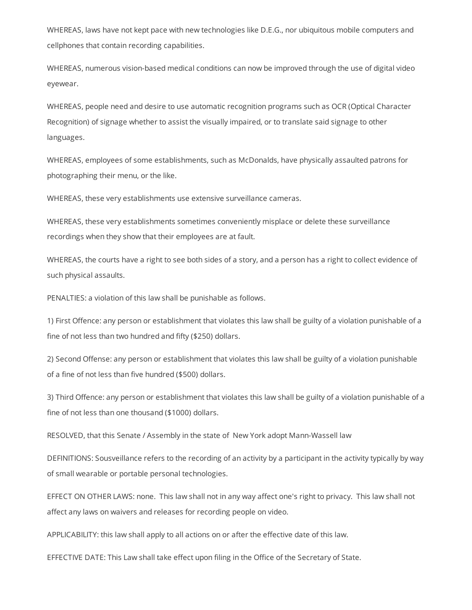WHEREAS, laws have not kept pace with new technologies like D.E.G., nor ubiquitous mobile computers and cellphones that contain recording capabilities.

WHEREAS, numerous vision-based medical conditions can now be improved through the use of digital video eyewear.

WHEREAS, people need and desire to use automatic recognition programs such as OCR (Optical Character Recognition) of signage whether to assist the visually impaired, or to translate said signage to other languages.

WHEREAS, employees of some establishments, such as McDonalds, have physically assaulted patrons for photographing their menu, or the like.

WHEREAS, these very establishments use extensive surveillance cameras.

WHEREAS, these very establishments sometimes conveniently misplace or delete these surveillance recordings when they show that their employees are at fault.

WHEREAS, the courts have a right to see both sides of a story, and a person has a right to collect evidence of such physical assaults.

PENALTIES: a violation of this law shall be punishable as follows.

1) First Offence: any person or establishment that violates this law shall be guilty of a violation punishable of a fine of not less than two hundred and fifty (\$250) dollars.

2) Second Offense: any person or establishment that violates this law shall be guilty of a violation punishable of a fine of not less than five hundred (\$500) dollars.

3) Third Offence: any person or establishment that violates this law shall be guilty of a violation punishable of a fine of not less than one thousand (\$1000) dollars.

RESOLVED, that this Senate / Assembly in the state of New York adopt Mann-Wassell law

DEFINITIONS: Sousveillance refers to the recording of an activity by a participant in the activity typically by way of small wearable or portable personal technologies.

EFFECT ON OTHER LAWS: none. This law shall not in any way affect one's right to privacy. This law shall not affect any laws on waivers and releases for recording people on video.

APPLICABILITY: this law shall apply to all actions on or after the effective date of this law.

EFFECTIVE DATE: This Law shall take effect upon filing in the Office of the Secretary of State.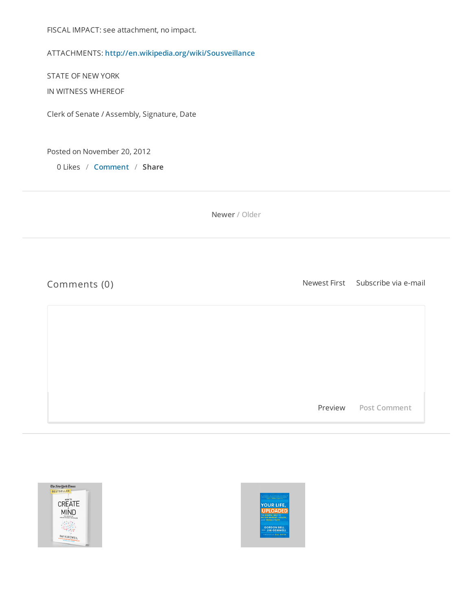FISCAL IMPACT: see attachment, no impact.

ATTACHMENTS: **<http://en.wikipedia.org/wiki/Sousveillance>**

STATE OF NEW YORK

IN WITNESS WHEREOF

Clerk of Senate / Assembly, Signature, Date

Posted on November 20, 2012

0 Likes / **[Comment](http://veillance.me/blog/2012/11/20/proposed-law-on-sousveillance#comments-50d4b704e4b0361e83386502)** / **Share** 

**[Newer](http://veillance.me/blog/2012/11/26/supreme-court-rejects-law-enforcement-prohibiting-people-from-recording-police-officers) / Older**

Comments (0) Subscribe via e-mail Subscribe via e-mail

Preview **Post Comment**